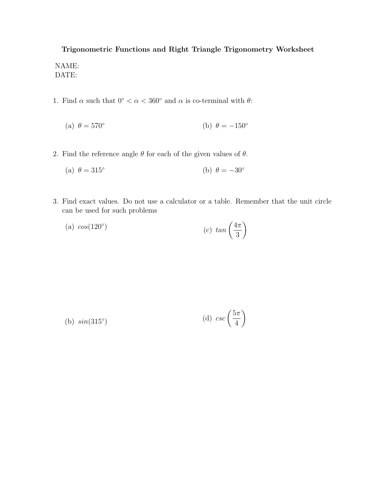## Trigonometric Functions and Right Triangle Trigonometry Worksheet NAME: DATE:

1. Find  $\alpha$  such that  $0^{\circ} < \alpha < 360^{\circ}$  and  $\alpha$  is co-terminal with  $\theta$ :

(a) 
$$
\theta = 570^{\circ}
$$
 (b)  $\theta = -150^{\circ}$ 

2. Find the reference angle  $\theta$  for each of the given values of  $\theta$ .

(a) 
$$
\theta = 315^{\circ}
$$
 \n(b)  $\theta = -30^{\circ}$ 

3. Find exact values. Do not use a calculator or a table. Remember that the unit circle can be used for such problems

(a) 
$$
cos(120^\circ)
$$
 (c)  $tan\left(\frac{4\pi}{3}\right)$ 

(b) 
$$
sin(315^\circ)
$$
 (d)  $csc\left(\frac{5\pi}{4}\right)$